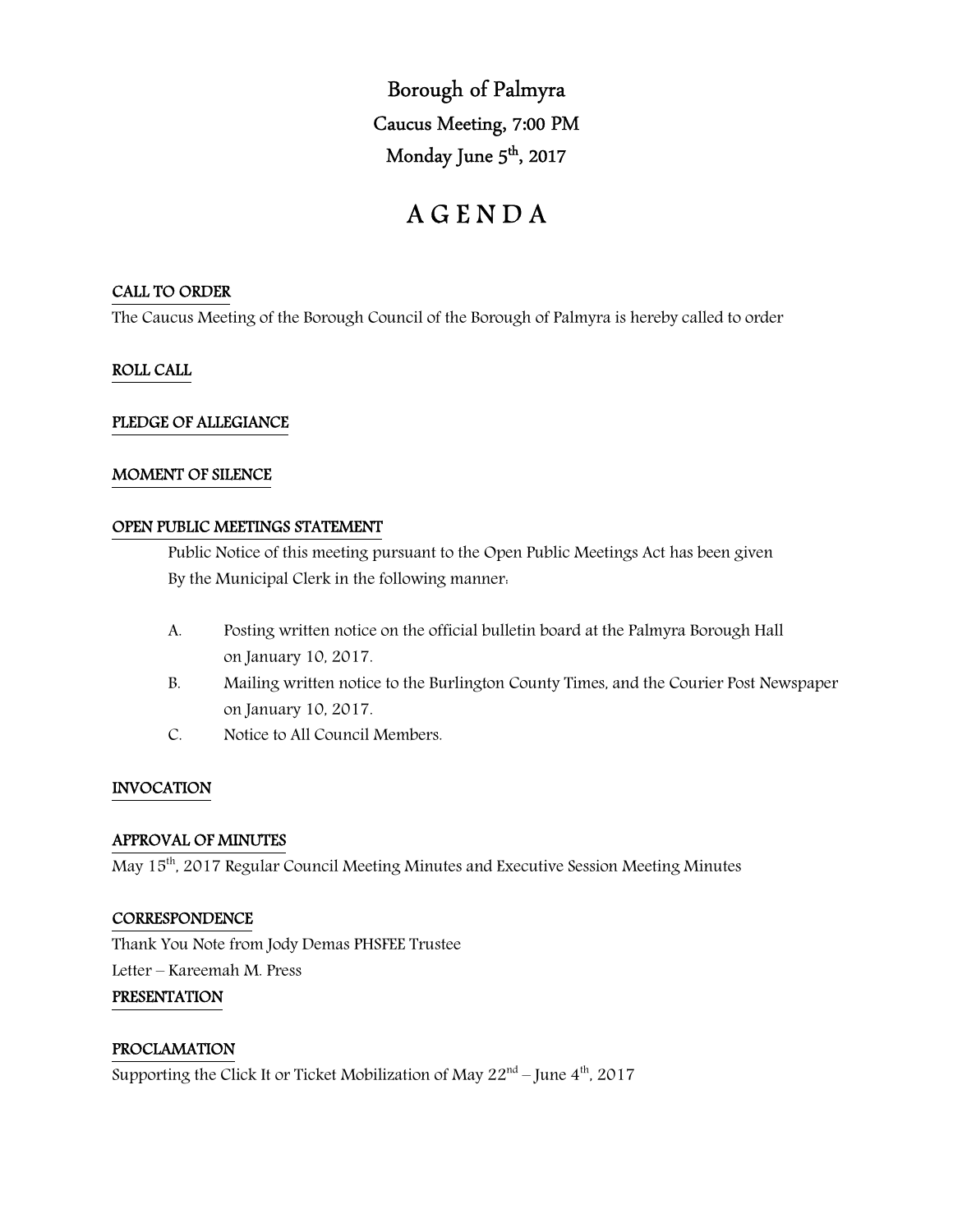Borough of Palmyra Caucus Meeting, 7:00 PM Monday June 5<sup>th</sup>, 2017

# A G E N D A

# CALL TO ORDER

The Caucus Meeting of the Borough Council of the Borough of Palmyra is hereby called to order

# ROLL CALL

## PLEDGE OF ALLEGIANCE

## MOMENT OF SILENCE

## OPEN PUBLIC MEETINGS STATEMENT

 Public Notice of this meeting pursuant to the Open Public Meetings Act has been given By the Municipal Clerk in the following manner:

- A. Posting written notice on the official bulletin board at the Palmyra Borough Hall on January 10, 2017.
- B. Mailing written notice to the Burlington County Times, and the Courier Post Newspaper on January 10, 2017.
- C. Notice to All Council Members.

# INVOCATION

## APPROVAL OF MINUTES

May 15<sup>th</sup>, 2017 Regular Council Meeting Minutes and Executive Session Meeting Minutes

## **CORRESPONDENCE**

Thank You Note from Jody Demas PHSFEE Trustee Letter – Kareemah M. Press

# PRESENTATION

# PROCLAMATION

Supporting the Click It or Ticket Mobilization of May  $22<sup>nd</sup>$  – June  $4<sup>th</sup>$ , 2017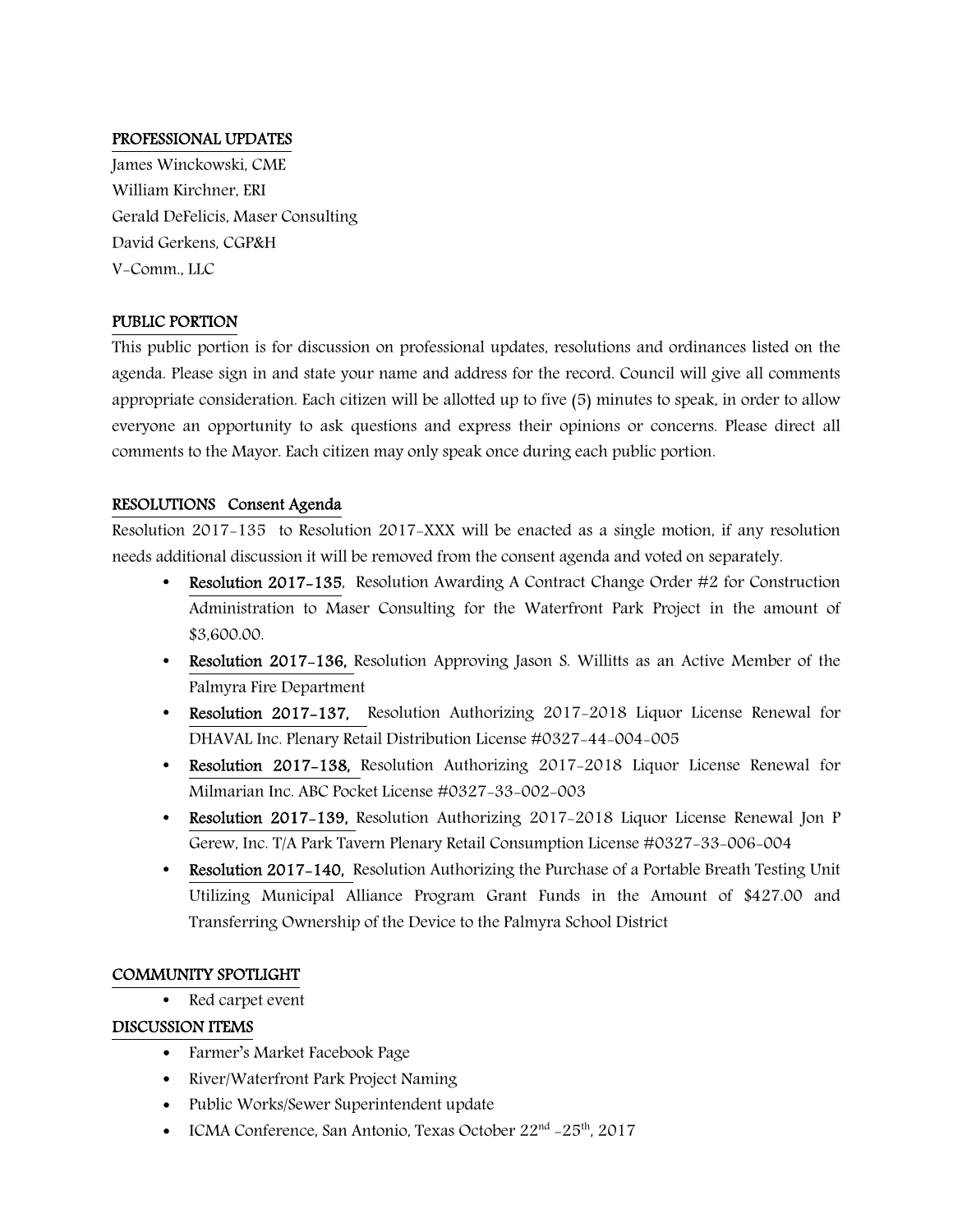# PROFESSIONAL UPDATES

James Winckowski, CME William Kirchner, ERI Gerald DeFelicis, Maser Consulting David Gerkens, CGP&H V-Comm., LLC

# PUBLIC PORTION

This public portion is for discussion on professional updates, resolutions and ordinances listed on the agenda. Please sign in and state your name and address for the record. Council will give all comments appropriate consideration. Each citizen will be allotted up to five (5) minutes to speak, in order to allow everyone an opportunity to ask questions and express their opinions or concerns. Please direct all comments to the Mayor. Each citizen may only speak once during each public portion.

# RESOLUTIONS Consent Agenda

Resolution 2017-135 to Resolution 2017-XXX will be enacted as a single motion, if any resolution needs additional discussion it will be removed from the consent agenda and voted on separately.

- **Resolution 2017-135, Resolution Awarding A Contract Change Order #2 for Construction** Administration to Maser Consulting for the Waterfront Park Project in the amount of \$3,600.00.
- Resolution 2017–136, Resolution Approving Jason S. Willitts as an Active Member of the Palmyra Fire Department
- Resolution 2017-137, Resolution Authorizing 2017-2018 Liquor License Renewal for DHAVAL Inc. Plenary Retail Distribution License #0327-44-004-005
- Resolution 2017-138, Resolution Authorizing 2017-2018 Liquor License Renewal for Milmarian Inc. ABC Pocket License #0327-33-002-003
- Resolution 2017-139, Resolution Authorizing 2017-2018 Liquor License Renewal Jon P Gerew, Inc. T/A Park Tavern Plenary Retail Consumption License #0327-33-006-004
- Resolution 2017-140, Resolution Authorizing the Purchase of a Portable Breath Testing Unit Utilizing Municipal Alliance Program Grant Funds in the Amount of \$427.00 and Transferring Ownership of the Device to the Palmyra School District

## COMMUNITY SPOTLIGHT

• Red carpet event

# DISCUSSION ITEMS

- Farmer's Market Facebook Page
- River/Waterfront Park Project Naming
- Public Works/Sewer Superintendent update
- ICMA Conference, San Antonio, Texas October  $22<sup>nd</sup> 25<sup>th</sup>$ , 2017